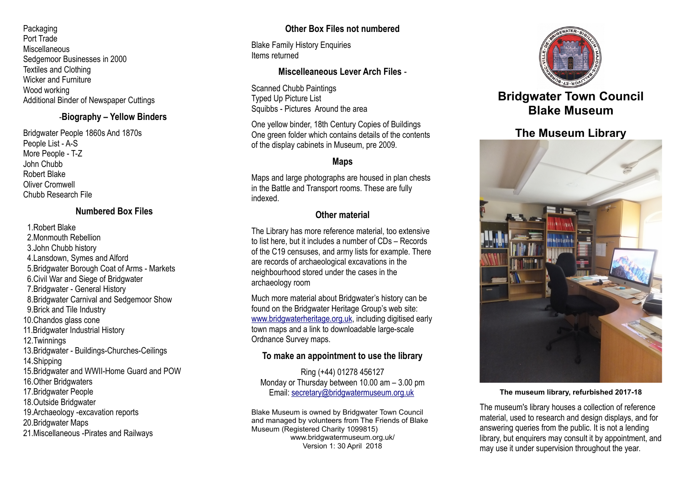Packaging Port Trade **Miscellaneous** Sedgemoor Businesses in 2000 Textiles and Clothing Wicker and Furniture Wood working Additional Binder of Newspaper Cuttings

## -**Biography – Yellow Binders**

Bridgwater People 1860s And 1870s People List - A-S More People - T-Z John Chubb Robert Blake Oliver Cromwell Chubb Research File

# **Numbered Box Files**

1.Robert Blake

 2.Monmouth Rebellion 3.John Chubb history 4.Lansdown, Symes and Alford 5.Bridgwater Borough Coat of Arms - Markets 6.Civil War and Siege of Bridgwater 7.Bridgwater - General History 8.Bridgwater Carnival and Sedgemoor Show 9.Brick and Tile Industry 10.Chandos glass cone 11.Bridgwater Industrial History 12.Twinnings 13.Bridgwater - Buildings-Churches-Ceilings 14.Shipping 15.Bridgwater and WWII-Home Guard and POW 16.Other Bridgwaters 17.Bridgwater People 18.Outside Bridgwater 19.Archaeology -excavation reports 20.Bridgwater Maps 21.Miscellaneous -Pirates and Railways

# **Other Box Files not numbered**

Blake Family History Enquiries Items returned

# **Miscelleaneous Lever Arch Files** -

Scanned Chubb Paintings Typed Up Picture List Squibbs - Pictures Around the area

One yellow binder, 18th Century Copies of Buildings One green folder which contains details of the contents of the display cabinets in Museum, pre 2009.

# **Maps**

Maps and large photographs are housed in plan chests in the Battle and Transport rooms. These are fully indexed.

## **Other material**

The Library has more reference material, too extensive to list here, but it includes a number of CDs – Records of the C19 censuses, and army lists for example. There are records of archaeological excavations in the neighbourhood stored under the cases in the archaeology room

Much more material about Bridgwater's history can be found on the Bridgwater Heritage Group's web site: [www.bridgwaterheritage.org.uk,](http://www.bridgwaterheritage.org.uk/) including digitised early town maps and a link to downloadable large-scale Ordnance Survey maps.

# **To make an appointment to use the library**

Ring (+44) 01278 456127 Monday or Thursday between 10.00 am – 3.00 pm Email: [secretary@bridgwatermuseum.org.uk](mailto:secretary@bridgwatermuseum.org.uk)

Blake Museum is owned by Bridgwater Town Council and managed by volunteers from The Friends of Blake Museum (Registered Charity 1099815) www.bridgwatermuseum.org.uk/ Version 1: 30 April 2018



# **Bridgwater Town Council Blake Museum**

# **The Museum Library**



#### **The museum library, refurbished 2017-18**

The museum's library houses a collection of reference material, used to research and design displays, and for answering queries from the public. It is not a lending library, but enquirers may consult it by appointment, and may use it under supervision throughout the year.